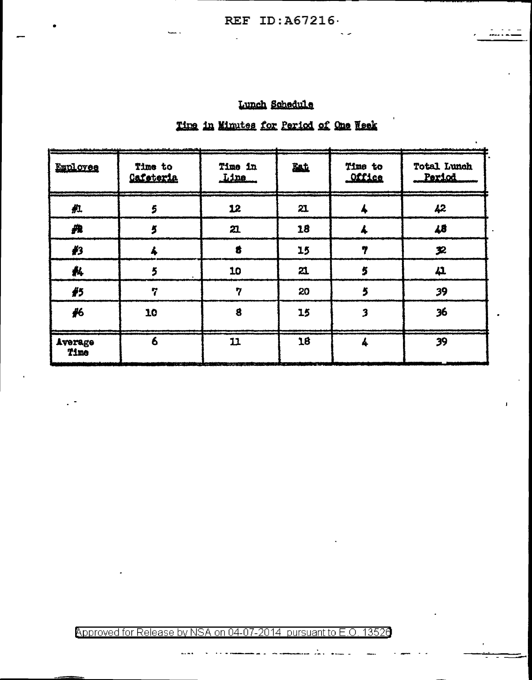#### Lunch Schedule

## Time in Minutes for Period of One Neek

| Employee        | Time to<br>Cafeteria | Time in<br>Line                                                                                    | <b>Bat</b> | Time to<br>Office | Total Lunch<br>Period |
|-----------------|----------------------|----------------------------------------------------------------------------------------------------|------------|-------------------|-----------------------|
| 舡               | 5                    | 12                                                                                                 | 21         |                   | 42                    |
| Æ               |                      | 21                                                                                                 | 18         |                   | 48                    |
| #3              |                      | 8                                                                                                  | 15         | 7                 | 叉                     |
| 私               |                      | 10                                                                                                 | 21         | 5                 | $\boldsymbol{\mu}$    |
| #5              | 77                   | 7                                                                                                  | 20         | 5                 | 39                    |
| #6              | 10                   | 8                                                                                                  | 15         | 3                 | 36                    |
| Average<br>Time | 6                    | 11<br>is die eerste gevenlyk in die staat van die kalender van die beste gewone van die kalender o | 18         |                   | 39                    |

Approved for Release by NSA on 04-07-2014 pursuant to E.O. 13526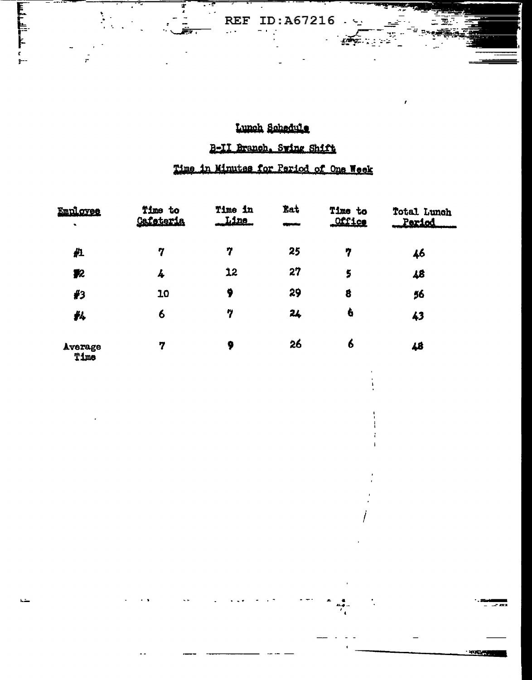# REF ID:A67216  $\sim$

**Concert Contract Concert** 

ᆕᆵ

**HOSPITAL** 

كالمحا

## Lunch Schedule

## B-II Branch, Swing Shift

# Time in Minutes for Period of One Week

| <u>Employee</u><br>$\bullet$ | Time to<br>Cafeteria | Time in<br><u>Line</u> | Eat | Time to<br>Office | Total Lunch<br>Period |
|------------------------------|----------------------|------------------------|-----|-------------------|-----------------------|
| ぬ                            | 7                    | 7                      | 25  | 7                 | 46                    |
| 款                            | 4                    | 12                     | 27  | 5                 | 48                    |
| #3                           | 10                   | 9                      | 29  | 8                 | 56                    |
| #4                           | 6                    | 7                      | 24  | 6                 | 43                    |
| Average<br>$m_{\text{max}}$  | 7                    | 9                      | 26  | 6                 | 48                    |